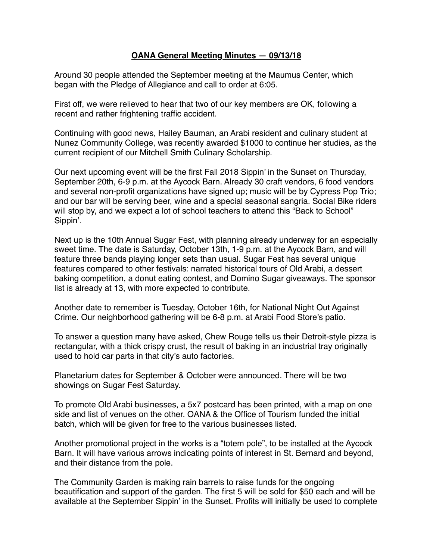## **OANA General Meeting Minutes — 09/13/18**

Around 30 people attended the September meeting at the Maumus Center, which began with the Pledge of Allegiance and call to order at 6:05.

First off, we were relieved to hear that two of our key members are OK, following a recent and rather frightening traffic accident.

Continuing with good news, Hailey Bauman, an Arabi resident and culinary student at Nunez Community College, was recently awarded \$1000 to continue her studies, as the current recipient of our Mitchell Smith Culinary Scholarship.

Our next upcoming event will be the first Fall 2018 Sippin' in the Sunset on Thursday, September 20th, 6-9 p.m. at the Aycock Barn. Already 30 craft vendors, 6 food vendors and several non-profit organizations have signed up; music will be by Cypress Pop Trio; and our bar will be serving beer, wine and a special seasonal sangria. Social Bike riders will stop by, and we expect a lot of school teachers to attend this "Back to School" Sippin'.

Next up is the 10th Annual Sugar Fest, with planning already underway for an especially sweet time. The date is Saturday, October 13th, 1-9 p.m. at the Aycock Barn, and will feature three bands playing longer sets than usual. Sugar Fest has several unique features compared to other festivals: narrated historical tours of Old Arabi, a dessert baking competition, a donut eating contest, and Domino Sugar giveaways. The sponsor list is already at 13, with more expected to contribute.

Another date to remember is Tuesday, October 16th, for National Night Out Against Crime. Our neighborhood gathering will be 6-8 p.m. at Arabi Food Store's patio.

To answer a question many have asked, Chew Rouge tells us their Detroit-style pizza is rectangular, with a thick crispy crust, the result of baking in an industrial tray originally used to hold car parts in that city's auto factories.

Planetarium dates for September & October were announced. There will be two showings on Sugar Fest Saturday.

To promote Old Arabi businesses, a 5x7 postcard has been printed, with a map on one side and list of venues on the other. OANA & the Office of Tourism funded the initial batch, which will be given for free to the various businesses listed.

Another promotional project in the works is a "totem pole", to be installed at the Aycock Barn. It will have various arrows indicating points of interest in St. Bernard and beyond, and their distance from the pole.

The Community Garden is making rain barrels to raise funds for the ongoing beautification and support of the garden. The first 5 will be sold for \$50 each and will be available at the September Sippin' in the Sunset. Profits will initially be used to complete